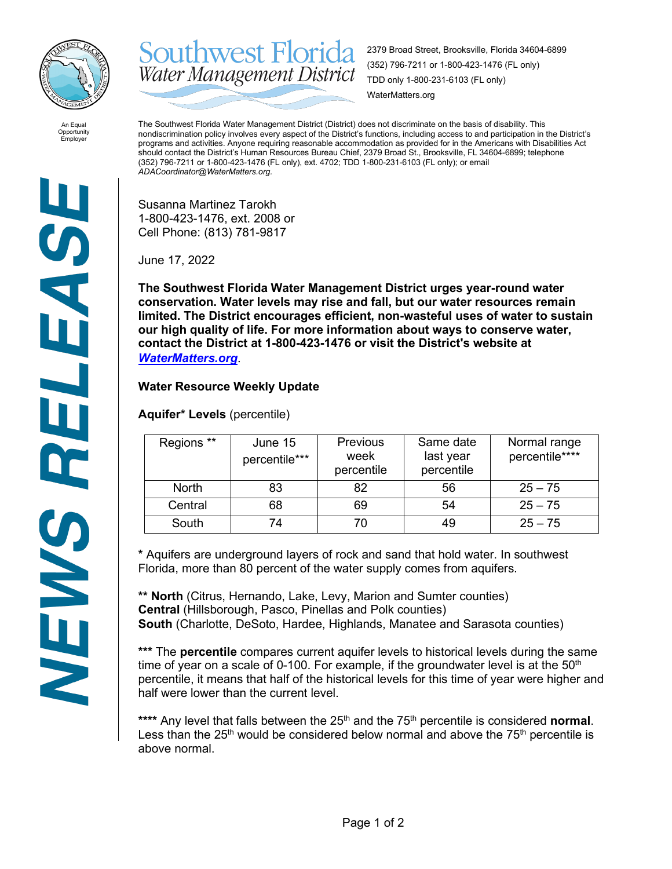

**Southwest Florida** 2379 Broad Street, Brooksville, Florida 34604-6899 (352) 796-7211 or 1-800-423-1476 (FL only) Water Management District TDD only 1-800-231-6103 (FL only) WaterMatters.org

An Equal Opportunity Employer

The Southwest Florida Water Management District (District) does not discriminate on the basis of disability. This nondiscrimination policy involves every aspect of the District's functions, including access to and participation in the District's programs and activities. Anyone requiring reasonable accommodation as provided for in the Americans with Disabilities Act should contact the District's Human Resources Bureau Chief, 2379 Broad St., Brooksville, FL 34604-6899; telephone (352) 796-7211 or 1-800-423-1476 (FL only), ext. 4702; TDD 1-800-231-6103 (FL only); or email *ADACoordinator@WaterMatters.org.*

Susanna Martinez Tarokh 1-800-423-1476, ext. 2008 or Cell Phone: (813) 781-9817

June 17, 2022

**The Southwest Florida Water Management District urges year-round water conservation. Water levels may rise and fall, but our water resources remain limited. The District encourages efficient, non-wasteful uses of water to sustain our high quality of life. For more information about ways to conserve water, contact the District at 1-800-423-1476 or visit the District's website at**  *[WaterMatters.org](http://watermatters.org/)*.

## **Water Resource Weekly Update**

**Aquifer\* Levels** (percentile)

| Regions **   | June 15<br>percentile*** | <b>Previous</b><br>week<br>percentile | Same date<br>last year<br>percentile | Normal range<br>percentile**** |
|--------------|--------------------------|---------------------------------------|--------------------------------------|--------------------------------|
| <b>North</b> | 83                       | 82                                    | 56                                   | $25 - 75$                      |
| Central      | 68                       | 69                                    | 54                                   | $25 - 75$                      |
| South        |                          |                                       | 49                                   | $25 - 75$                      |

**\*** Aquifers are underground layers of rock and sand that hold water. In southwest Florida, more than 80 percent of the water supply comes from aquifers.

**\*\* North** (Citrus, Hernando, Lake, Levy, Marion and Sumter counties) **Central** (Hillsborough, Pasco, Pinellas and Polk counties) **South** (Charlotte, DeSoto, Hardee, Highlands, Manatee and Sarasota counties)

**\*\*\*** The **percentile** compares current aquifer levels to historical levels during the same time of year on a scale of 0-100. For example, if the groundwater level is at the  $50<sup>th</sup>$ percentile, it means that half of the historical levels for this time of year were higher and half were lower than the current level.

\*\*\*\* Any level that falls between the 25<sup>th</sup> and the 75<sup>th</sup> percentile is considered **normal**. Less than the  $25<sup>th</sup>$  would be considered below normal and above the  $75<sup>th</sup>$  percentile is above normal.